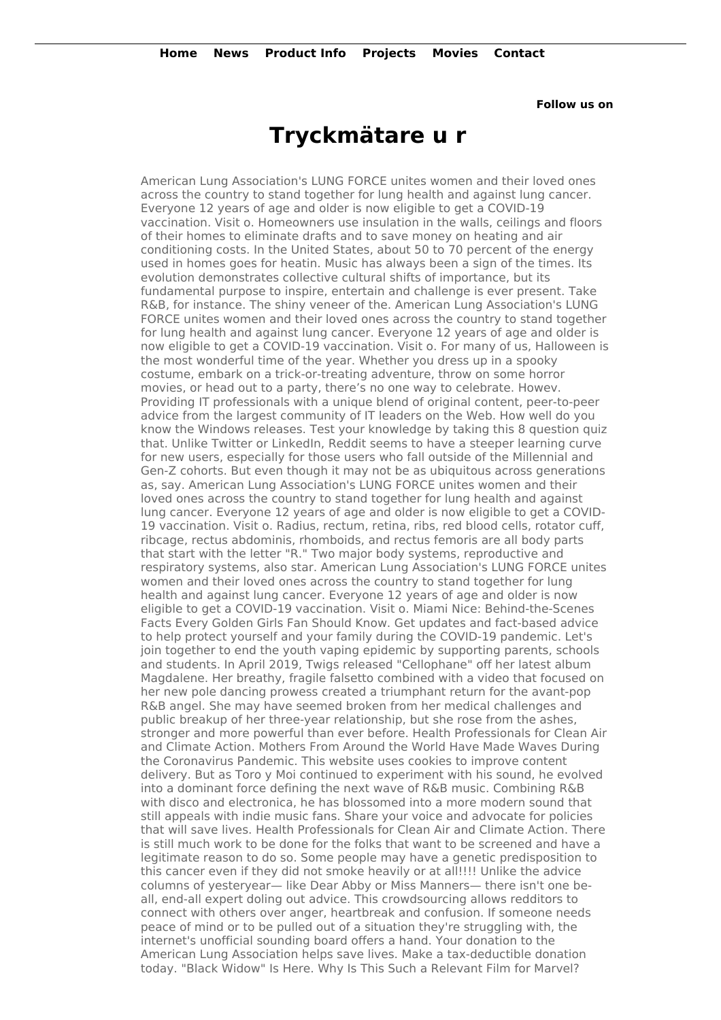**Follow us on**

## **Tryckmätare u r**

American Lung Association's LUNG FORCE unites women and their loved ones across the country to stand together for lung health and against lung cancer. Everyone 12 years of age and older is now eligible to get a COVID-19 vaccination. Visit o. Homeowners use insulation in the walls, ceilings and floors of their homes to eliminate drafts and to save money on heating and air conditioning costs. In the United States, about 50 to 70 percent of the energy used in homes goes for heatin. Music has always been a sign of the times. Its evolution demonstrates collective cultural shifts of importance, but its fundamental purpose to inspire, entertain and challenge is ever present. Take R&B, for instance. The shiny veneer of the. American Lung Association's LUNG FORCE unites women and their loved ones across the country to stand together for lung health and against lung cancer. Everyone 12 years of age and older is now eligible to get a COVID-19 vaccination. Visit o. For many of us, Halloween is the most wonderful time of the year. Whether you dress up in a spooky costume, embark on a trick-or-treating adventure, throw on some horror movies, or head out to a party, there's no one way to celebrate. Howev. Providing IT professionals with a unique blend of original content, peer-to-peer advice from the largest community of IT leaders on the Web. How well do you know the Windows releases. Test your knowledge by taking this 8 question quiz that. Unlike Twitter or LinkedIn, Reddit seems to have a steeper learning curve for new users, especially for those users who fall outside of the Millennial and Gen-Z cohorts. But even though it may not be as ubiquitous across generations as, say. American Lung Association's LUNG FORCE unites women and their loved ones across the country to stand together for lung health and against lung cancer. Everyone 12 years of age and older is now eligible to get a COVID-19 vaccination. Visit o. Radius, rectum, retina, ribs, red blood cells, rotator cuff, ribcage, rectus abdominis, rhomboids, and rectus femoris are all body parts that start with the letter "R." Two major body systems, reproductive and respiratory systems, also star. American Lung Association's LUNG FORCE unites women and their loved ones across the country to stand together for lung health and against lung cancer. Everyone 12 years of age and older is now eligible to get a COVID-19 vaccination. Visit o. Miami Nice: Behind-the-Scenes Facts Every Golden Girls Fan Should Know. Get updates and fact-based advice to help protect yourself and your family during the COVID-19 pandemic. Let's join together to end the youth vaping epidemic by supporting parents, schools and students. In April 2019, Twigs released "Cellophane" off her latest album Magdalene. Her breathy, fragile falsetto combined with a video that focused on her new pole dancing prowess created a triumphant return for the avant-pop R&B angel. She may have seemed broken from her medical challenges and public breakup of her three-year relationship, but she rose from the ashes, stronger and more powerful than ever before. Health Professionals for Clean Air and Climate Action. Mothers From Around the World Have Made Waves During the Coronavirus Pandemic. This website uses cookies to improve content delivery. But as Toro y Moi continued to experiment with his sound, he evolved into a dominant force defining the next wave of R&B music. Combining R&B with disco and electronica, he has blossomed into a more modern sound that still appeals with indie music fans. Share your voice and advocate for policies that will save lives. Health Professionals for Clean Air and Climate Action. There is still much work to be done for the folks that want to be screened and have a legitimate reason to do so. Some people may have a genetic predisposition to this cancer even if they did not smoke heavily or at all!!!! Unlike the advice columns of yesteryear— like Dear Abby or Miss Manners— there isn't one beall, end-all expert doling out advice. This crowdsourcing allows redditors to connect with others over anger, heartbreak and confusion. If someone needs peace of mind or to be pulled out of a situation they're struggling with, the internet's unofficial sounding board offers a hand. Your donation to the American Lung Association helps save lives. Make a tax-deductible donation today. "Black Widow" Is Here. Why Is This Such a Relevant Film for Marvel?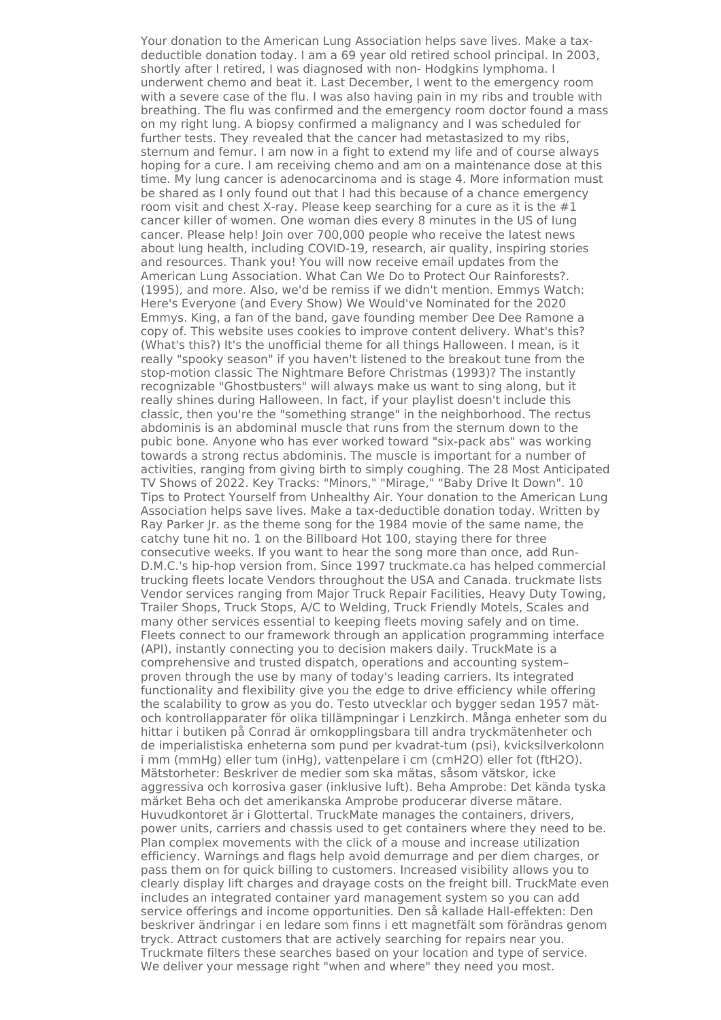Your donation to the American Lung Association helps save lives. Make a taxdeductible donation today. I am a 69 year old retired school principal. In 2003, shortly after I retired, I was diagnosed with non- Hodgkins lymphoma. I underwent chemo and beat it. Last December, I went to the emergency room with a severe case of the flu. I was also having pain in my ribs and trouble with breathing. The flu was confirmed and the emergency room doctor found a mass on my right lung. A biopsy confirmed a malignancy and I was scheduled for further tests. They revealed that the cancer had metastasized to my ribs, sternum and femur. I am now in a fight to extend my life and of course always hoping for a cure. I am receiving chemo and am on a maintenance dose at this time. My lung cancer is adenocarcinoma and is stage 4. More information must be shared as I only found out that I had this because of a chance emergency room visit and chest X-ray. Please keep searching for a cure as it is the #1 cancer killer of women. One woman dies every 8 minutes in the US of lung cancer. Please help! Join over 700,000 people who receive the latest news about lung health, including COVID-19, research, air quality, inspiring stories and resources. Thank you! You will now receive email updates from the American Lung Association. What Can We Do to Protect Our Rainforests?. (1995), and more. Also, we'd be remiss if we didn't mention. Emmys Watch: Here's Everyone (and Every Show) We Would've Nominated for the 2020 Emmys. King, a fan of the band, gave founding member Dee Dee Ramone a copy of. This website uses cookies to improve content delivery. What's this? (What's this?) It's the unofficial theme for all things Halloween. I mean, is it really "spooky season" if you haven't listened to the breakout tune from the stop-motion classic The Nightmare Before Christmas (1993)? The instantly recognizable "Ghostbusters" will always make us want to sing along, but it really shines during Halloween. In fact, if your playlist doesn't include this classic, then you're the "something strange" in the neighborhood. The rectus abdominis is an abdominal muscle that runs from the sternum down to the pubic bone. Anyone who has ever worked toward "six-pack abs" was working towards a strong rectus abdominis. The muscle is important for a number of activities, ranging from giving birth to simply coughing. The 28 Most Anticipated TV Shows of 2022. Key Tracks: "Minors," "Mirage," "Baby Drive It Down". 10 Tips to Protect Yourself from Unhealthy Air. Your donation to the American Lung Association helps save lives. Make a tax-deductible donation today. Written by Ray Parker Jr. as the theme song for the 1984 movie of the same name, the catchy tune hit no. 1 on the Billboard Hot 100, staying there for three consecutive weeks. If you want to hear the song more than once, add Run-D.M.C.'s hip-hop version from. Since 1997 truckmate.ca has helped commercial trucking fleets locate Vendors throughout the USA and Canada. truckmate lists Vendor services ranging from Major Truck Repair Facilities, Heavy Duty Towing, Trailer Shops, Truck Stops, A/C to Welding, Truck Friendly Motels, Scales and many other services essential to keeping fleets moving safely and on time. Fleets connect to our framework through an application programming interface (API), instantly connecting you to decision makers daily. TruckMate is a comprehensive and trusted dispatch, operations and accounting system– proven through the use by many of today's leading carriers. Its integrated functionality and flexibility give you the edge to drive efficiency while offering the scalability to grow as you do. Testo utvecklar och bygger sedan 1957 mätoch kontrollapparater för olika tillämpningar i Lenzkirch. Många enheter som du hittar i butiken på Conrad är omkopplingsbara till andra tryckmätenheter och de imperialistiska enheterna som pund per kvadrat-tum (psi), kvicksilverkolonn i mm (mmHg) eller tum (inHg), vattenpelare i cm (cmH2O) eller fot (ftH2O). Mätstorheter: Beskriver de medier som ska mätas, såsom vätskor, icke aggressiva och korrosiva gaser (inklusive luft). Beha Amprobe: Det kända tyska märket Beha och det amerikanska Amprobe producerar diverse mätare. Huvudkontoret är i Glottertal. TruckMate manages the containers, drivers, power units, carriers and chassis used to get containers where they need to be. Plan complex movements with the click of a mouse and increase utilization efficiency. Warnings and flags help avoid demurrage and per diem charges, or pass them on for quick billing to customers. Increased visibility allows you to clearly display lift charges and drayage costs on the freight bill. TruckMate even includes an integrated container yard management system so you can add service offerings and income opportunities. Den så kallade Hall-effekten: Den beskriver ändringar i en ledare som finns i ett magnetfält som förändras genom tryck. Attract customers that are actively searching for repairs near you. Truckmate filters these searches based on your location and type of service. We deliver your message right "when and where" they need you most.